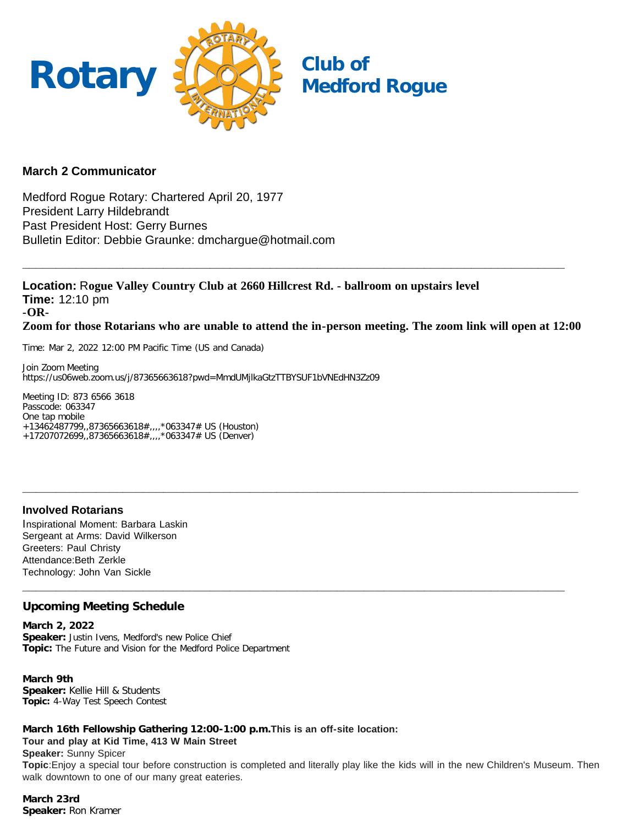

## **March 2 Communicator**

Medford Rogue Rotary: Chartered April 20, 1977 President Larry Hildebrandt Past President Host: Gerry Burnes Bulletin Editor: Debbie Graunke: dmchargue@hotmail.com

**Location:** R**ogue Valley Country Club at 2660 Hillcrest Rd. - ballroom on upstairs level Time:** 12:10 pm **-OR-Zoom for those Rotarians who are unable to attend the in-person meeting. The zoom link will open at 12:00**

**\_\_\_\_\_\_\_\_\_\_\_\_\_\_\_\_\_\_\_\_\_\_\_\_\_\_\_\_\_\_\_\_\_\_\_\_\_\_\_\_\_\_\_\_\_\_\_\_\_\_\_\_\_\_\_\_\_\_\_\_\_\_\_\_\_\_\_\_\_\_\_\_\_\_\_\_\_\_\_\_\_\_\_**

**\_\_\_\_\_\_\_\_\_\_\_\_\_\_\_\_\_\_\_\_\_\_\_\_\_\_\_\_\_\_\_\_\_\_\_\_\_\_\_\_\_\_\_\_\_\_\_\_\_\_\_\_\_\_\_\_\_\_\_\_\_\_\_\_\_\_\_\_\_\_\_\_\_\_\_\_\_\_\_\_\_**

**\_\_\_\_\_\_\_\_\_\_\_\_\_\_\_\_\_\_\_\_\_\_\_\_\_\_\_\_\_\_\_\_\_\_\_\_\_\_\_\_\_\_\_\_\_\_\_\_\_\_\_\_\_\_\_\_\_\_\_\_\_\_\_\_\_\_\_\_\_\_\_\_\_\_\_\_\_\_\_\_\_**

Time: Mar 2, 2022 12:00 PM Pacific Time (US and Canada)

Join Zoom Meeting https://us06web.zoom.us/j/87365663618?pwd=MmdUMjlkaGtzTTBYSUF1bVNEdHN3Zz09

Meeting ID: 873 6566 3618 Passcode: 063347 One tap mobile +13462487799,,87365663618#,,,,\*063347# US (Houston) +17207072699,,87365663618#,,,,\*063347# US (Denver)

# **Involved Rotarians**

Inspirational Moment: Barbara Laskin Sergeant at Arms: David Wilkerson Greeters: Paul Christy Attendance:Beth Zerkle Technology: John Van Sickle

# **Upcoming Meeting Schedule**

**March 2, 2022 Speaker:** Justin Ivens, Medford's new Police Chief **Topic:** The Future and Vision for the Medford Police Department

**March 9th Speaker:** Kellie Hill & Students **Topic:** 4-Way Test Speech Contest

**March 16th Fellowship Gathering 12:00-1:00 p.m.This is an off-site location: Tour and play at Kid Time, 413 W Main Street Speaker:** Sunny Spicer

**Topic**:Enjoy a special tour before construction is completed and literally play like the kids will in the new Children's Museum. Then walk downtown to one of our many great eateries.

**March 23rd Speaker:** Ron Kramer